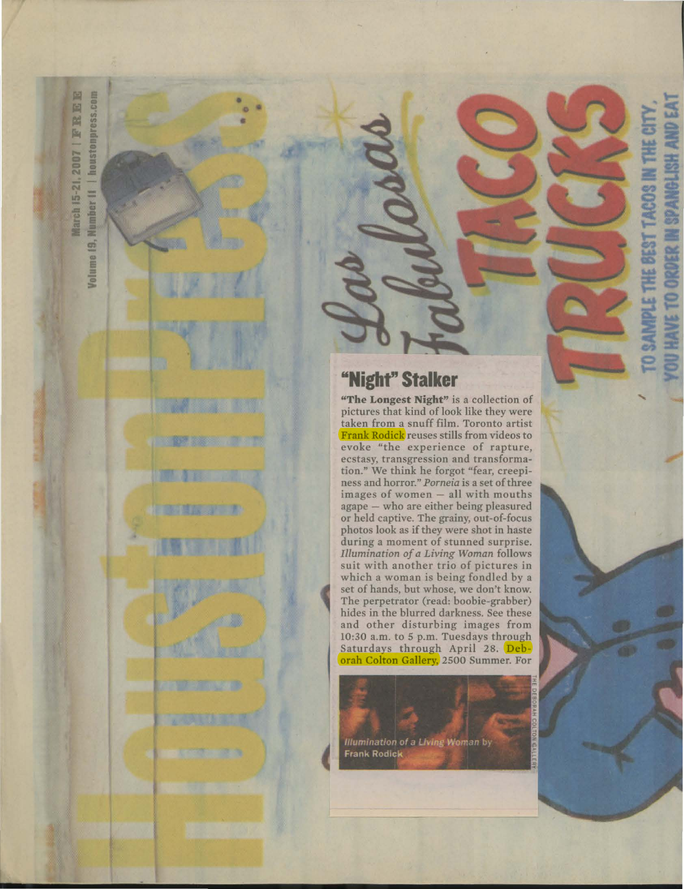圖 Number II | houstompress.com E FRI 2007 March 15-21. Volume 19,

**Harry Harry** 

## **"Night" Stalker**

**"The Longest Night"** is a collection of pictures that kind of look like they were taken from a snuff film. Toronto artist Frank Rodick reuses stills from videos to evoke "the experience of rapture, ecstasy, transgression and transformation." We think he forgot "fear, creepiness and horror." *Porneia* is a set of three images of women - all with mouths agape - who are either being pleasured or held captive. The grainy, out-of-focus photos look as if they were shot in haste during a moment of stunned surprise. *Illumination of a Living Woman* follows suit with another trio of pictures in which a woman is being fondled by a<br>set of hands, but whose, we don't know. set of hands, but whose, we don't know.<br>The perpetrator (read: boobie-grabber)<br>hides in the blurred darkness. See these The perpetrator (read: boobie-grabber) hides in the blurred darkness. See these and other disturbing images from 10:30 a.m. to 5 p.m. Tuesdays through Saturdays through April 28. Deborah Colton Gallery, 2500 Summer. For

ANGLISH AND EAT

TO ORDER

**HAVE** 

O SAMPLE THE BEST TACOS IN THE CITY

**Illumination of a Living Woman by Frank Rodick**